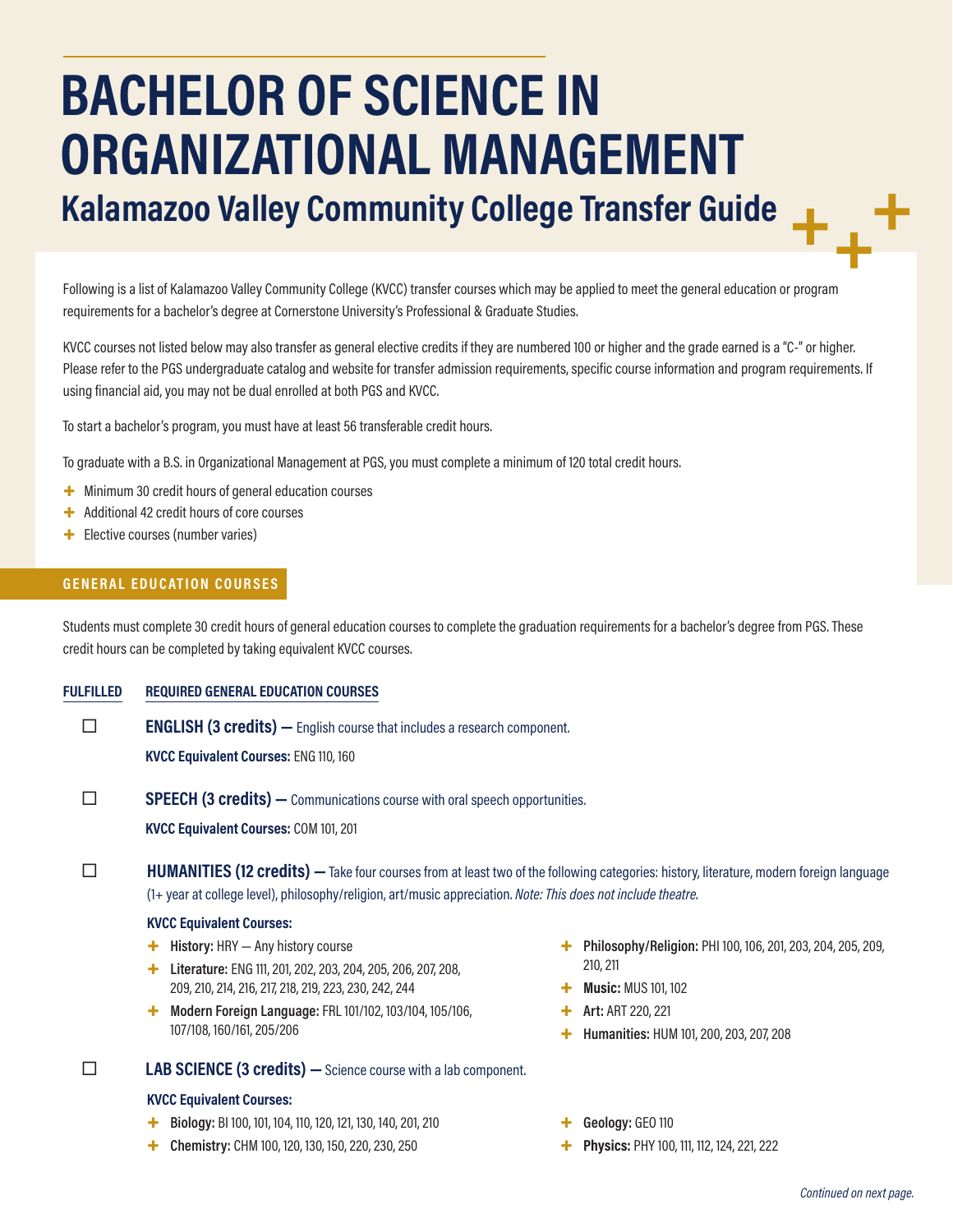# **BACHELOR OF SCIENCE IN ORGANIZATIONAL MANAGEMENT Kalamazoo Valley Community College Transfer Guide**

Following is a list of Kalamazoo Valley Community College (KVCC) transfer courses which may be applied to meet the general education or program requirements for a bachelor's degree at Cornerstone University's Professional & Graduate Studies.

KVCC courses not listed below may also transfer as general elective credits if they are numbered 100 or higher and the grade earned is a "C-" or higher. Please refer to the PGS undergraduate catalog and website for transfer admission requirements, specific course information and program requirements. If using financial aid, you may not be dual enrolled at both PGS and KVCC.

To start a bachelor's program, you must have at least 56 transferable credit hours.

To graduate with a B.S. in Organizational Management at PGS, you must complete a minimum of 120 total credit hours.

- + Minimum 30 credit hours of general education courses
- + Additional 42 credit hours of core courses
- + Elective courses (number varies)

### **GENERAL EDUCATION COURSES**

Students must complete 30 credit hours of general education courses to complete the graduation requirements for a bachelor's degree from PGS. These credit hours can be completed by taking equivalent KVCC courses.

**FULFILLED REQUIRED GENERAL EDUCATION COURSES**

**ENGLISH (3 credits)** — English course that includes a research component. **KVCC Equivalent Courses:** ENG 110, 160

**SPEECH (3 credits)** — Communications course with oral speech opportunities.

**KVCC Equivalent Courses:** COM 101, 201

**HUMANITIES (12 credits)** — Take four courses from at least two of the following categories: history, literature, modern foreign language (1+ year at college level), philosophy/religion, art/music appreciation. *Note: This does not include theatre.*

#### **KVCC Equivalent Courses:**

- + **History:** HRY Any history course
- + **Literature:** ENG 111, 201, 202, 203, 204, 205, 206, 207, 208, 209, 210, 214, 216, 217, 218, 219, 223, 230, 242, 244
- + **Modern Foreign Language:** FRL 101/102, 103/104, 105/106, 107/108, 160/161, 205/206

**LAB SCIENCE (3 credits)** - Science course with a lab component.

#### **KVCC Equivalent Courses:**

- + **Biology:** BI 100, 101, 104, 110, 120, 121, 130, 140, 201, 210
- + **Chemistry:** CHM 100, 120, 130, 150, 220, 230, 250
- + **Philosophy/Religion:** PHI 100, 106, 201, 203, 204, 205, 209, 210, 211
- + **Music:** MUS 101, 102
- + **Art:** ART 220, 221
- + **Humanities:** HUM 101, 200, 203, 207, 208
- + **Geology:** GEO 110
- Physics: PHY 100, 111, 112, 124, 221, 222